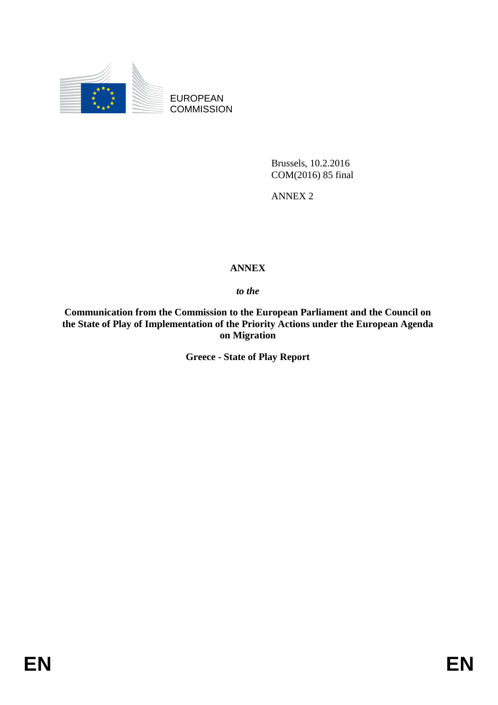

EUROPEAN **COMMISSION** 

> Brussels, 10.2.2016 COM(2016) 85 final

ANNEX 2

## **ANNEX**

*to the* 

**Communication from the Commission to the European Parliament and the Council on the State of Play of Implementation of the Priority Actions under the European Agenda on Migration**

**Greece - State of Play Report**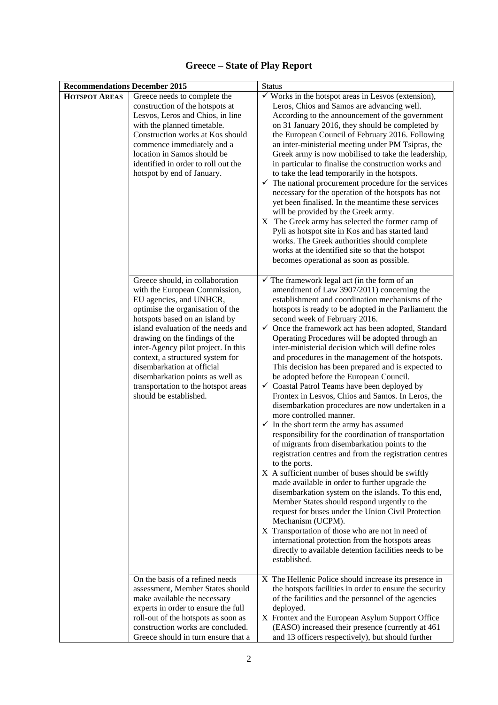| <b>Recommendations December 2015</b> |                                                                                                                                                                                                                                                                                                                                                                                                                                                                                            | <b>Status</b>                                                                                                                                                                                                                                                                                                                                                                                                                                                                                                                                                                                                                                                                                                                                                                                                                                                                                                                                                                                                                                                                                                                                                                                                                                                                                                                                                                                                                                                                                                                                              |
|--------------------------------------|--------------------------------------------------------------------------------------------------------------------------------------------------------------------------------------------------------------------------------------------------------------------------------------------------------------------------------------------------------------------------------------------------------------------------------------------------------------------------------------------|------------------------------------------------------------------------------------------------------------------------------------------------------------------------------------------------------------------------------------------------------------------------------------------------------------------------------------------------------------------------------------------------------------------------------------------------------------------------------------------------------------------------------------------------------------------------------------------------------------------------------------------------------------------------------------------------------------------------------------------------------------------------------------------------------------------------------------------------------------------------------------------------------------------------------------------------------------------------------------------------------------------------------------------------------------------------------------------------------------------------------------------------------------------------------------------------------------------------------------------------------------------------------------------------------------------------------------------------------------------------------------------------------------------------------------------------------------------------------------------------------------------------------------------------------------|
| <b>HOTSPOT AREAS</b>                 | Greece needs to complete the<br>construction of the hotspots at<br>Lesvos, Leros and Chios, in line<br>with the planned timetable.<br>Construction works at Kos should<br>commence immediately and a<br>location in Samos should be<br>identified in order to roll out the<br>hotspot by end of January.                                                                                                                                                                                   | $\checkmark$ Works in the hotspot areas in Lesvos (extension),<br>Leros, Chios and Samos are advancing well.<br>According to the announcement of the government<br>on 31 January 2016, they should be completed by<br>the European Council of February 2016. Following<br>an inter-ministerial meeting under PM Tsipras, the<br>Greek army is now mobilised to take the leadership,<br>in particular to finalise the construction works and<br>to take the lead temporarily in the hotspots.<br>$\checkmark$ The national procurement procedure for the services<br>necessary for the operation of the hotspots has not<br>yet been finalised. In the meantime these services<br>will be provided by the Greek army.<br>X The Greek army has selected the former camp of<br>Pyli as hotspot site in Kos and has started land<br>works. The Greek authorities should complete<br>works at the identified site so that the hotspot<br>becomes operational as soon as possible.                                                                                                                                                                                                                                                                                                                                                                                                                                                                                                                                                                               |
|                                      | Greece should, in collaboration<br>with the European Commission,<br>EU agencies, and UNHCR,<br>optimise the organisation of the<br>hotspots based on an island by<br>island evaluation of the needs and<br>drawing on the findings of the<br>inter-Agency pilot project. In this<br>context, a structured system for<br>disembarkation at official<br>disembarkation points as well as<br>transportation to the hotspot areas<br>should be established.<br>On the basis of a refined needs | $\checkmark$ The framework legal act (in the form of an<br>amendment of Law 3907/2011) concerning the<br>establishment and coordination mechanisms of the<br>hotspots is ready to be adopted in the Parliament the<br>second week of February 2016.<br>$\checkmark$ Once the framework act has been adopted, Standard<br>Operating Procedures will be adopted through an<br>inter-ministerial decision which will define roles<br>and procedures in the management of the hotspots.<br>This decision has been prepared and is expected to<br>be adopted before the European Council.<br>Coastal Patrol Teams have been deployed by<br>✓<br>Frontex in Lesvos, Chios and Samos. In Leros, the<br>disembarkation procedures are now undertaken in a<br>more controlled manner.<br>$\checkmark$ In the short term the army has assumed<br>responsibility for the coordination of transportation<br>of migrants from disembarkation points to the<br>registration centres and from the registration centres<br>to the ports.<br>X A sufficient number of buses should be swiftly<br>made available in order to further upgrade the<br>disembarkation system on the islands. To this end,<br>Member States should respond urgently to the<br>request for buses under the Union Civil Protection<br>Mechanism (UCPM).<br>X Transportation of those who are not in need of<br>international protection from the hotspots areas<br>directly to available detention facilities needs to be<br>established.<br>X The Hellenic Police should increase its presence in |
|                                      | assessment, Member States should<br>make available the necessary<br>experts in order to ensure the full<br>roll-out of the hotspots as soon as<br>construction works are concluded.<br>Greece should in turn ensure that a                                                                                                                                                                                                                                                                 | the hotspots facilities in order to ensure the security<br>of the facilities and the personnel of the agencies<br>deployed.<br>X Frontex and the European Asylum Support Office<br>(EASO) increased their presence (currently at 461)<br>and 13 officers respectively), but should further                                                                                                                                                                                                                                                                                                                                                                                                                                                                                                                                                                                                                                                                                                                                                                                                                                                                                                                                                                                                                                                                                                                                                                                                                                                                 |

**Greece – State of Play Report**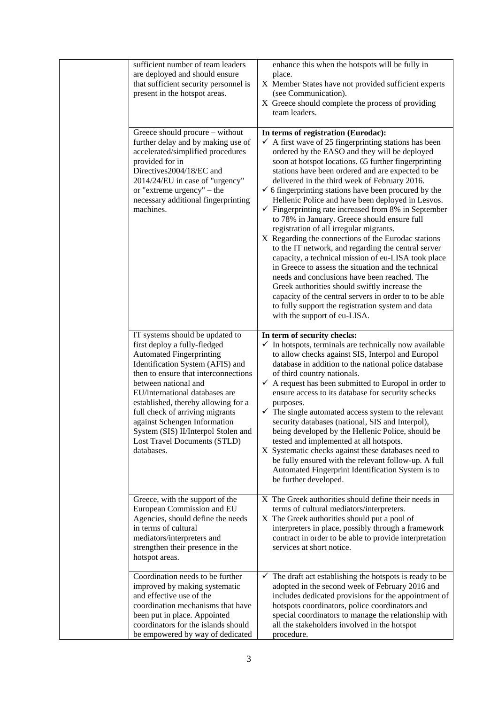| sufficient number of team leaders<br>are deployed and should ensure<br>that sufficient security personnel is<br>present in the hotspot areas.                                                                                                                                                                                                                                                                                           | enhance this when the hotspots will be fully in<br>place.<br>X Member States have not provided sufficient experts<br>(see Communication).<br>X Greece should complete the process of providing<br>team leaders.                                                                                                                                                                                                                                                                                                                                                                                                                                                                                                                                                                                                                                                                                                                                                                                                                                                                           |
|-----------------------------------------------------------------------------------------------------------------------------------------------------------------------------------------------------------------------------------------------------------------------------------------------------------------------------------------------------------------------------------------------------------------------------------------|-------------------------------------------------------------------------------------------------------------------------------------------------------------------------------------------------------------------------------------------------------------------------------------------------------------------------------------------------------------------------------------------------------------------------------------------------------------------------------------------------------------------------------------------------------------------------------------------------------------------------------------------------------------------------------------------------------------------------------------------------------------------------------------------------------------------------------------------------------------------------------------------------------------------------------------------------------------------------------------------------------------------------------------------------------------------------------------------|
| Greece should procure - without<br>further delay and by making use of<br>accelerated/simplified procedures<br>provided for in<br>Directives2004/18/EC and<br>2014/24/EU in case of "urgency"<br>or "extreme urgency" – the<br>necessary additional fingerprinting<br>machines.                                                                                                                                                          | In terms of registration (Eurodac):<br>$\checkmark$ A first wave of 25 fingerprinting stations has been<br>ordered by the EASO and they will be deployed<br>soon at hotspot locations. 65 further fingerprinting<br>stations have been ordered and are expected to be<br>delivered in the third week of February 2016.<br>$\checkmark$ 6 fingerprinting stations have been procured by the<br>Hellenic Police and have been deployed in Lesvos.<br>$\checkmark$ Fingerprinting rate increased from 8% in September<br>to 78% in January. Greece should ensure full<br>registration of all irregular migrants.<br>X Regarding the connections of the Eurodac stations<br>to the IT network, and regarding the central server<br>capacity, a technical mission of eu-LISA took place<br>in Greece to assess the situation and the technical<br>needs and conclusions have been reached. The<br>Greek authorities should swiftly increase the<br>capacity of the central servers in order to to be able<br>to fully support the registration system and data<br>with the support of eu-LISA. |
| IT systems should be updated to<br>first deploy a fully-fledged<br><b>Automated Fingerprinting</b><br>Identification System (AFIS) and<br>then to ensure that interconnections<br>between national and<br>EU/international databases are<br>established, thereby allowing for a<br>full check of arriving migrants<br>against Schengen Information<br>System (SIS) II/Interpol Stolen and<br>Lost Travel Documents (STLD)<br>databases. | In term of security checks:<br>$\checkmark$ In hotspots, terminals are technically now available<br>to allow checks against SIS, Interpol and Europol<br>database in addition to the national police database<br>of third country nationals.<br>$\checkmark$ A request has been submitted to Europol in order to<br>ensure access to its database for security schecks<br>purposes.<br>$\checkmark$ The single automated access system to the relevant<br>security databases (national, SIS and Interpol),<br>being developed by the Hellenic Police, should be<br>tested and implemented at all hotspots.<br>X Systematic checks against these databases need to<br>be fully ensured with the relevant follow-up. A full<br>Automated Fingerprint Identification System is to<br>be further developed.                                                                                                                                                                                                                                                                                   |
| Greece, with the support of the<br>European Commission and EU<br>Agencies, should define the needs<br>in terms of cultural<br>mediators/interpreters and<br>strengthen their presence in the<br>hotspot areas.                                                                                                                                                                                                                          | X The Greek authorities should define their needs in<br>terms of cultural mediators/interpreters.<br>X The Greek authorities should put a pool of<br>interpreters in place, possibly through a framework<br>contract in order to be able to provide interpretation<br>services at short notice.                                                                                                                                                                                                                                                                                                                                                                                                                                                                                                                                                                                                                                                                                                                                                                                           |
| Coordination needs to be further<br>improved by making systematic<br>and effective use of the<br>coordination mechanisms that have<br>been put in place. Appointed<br>coordinators for the islands should<br>be empowered by way of dedicated                                                                                                                                                                                           | $\checkmark$ The draft act establishing the hotspots is ready to be<br>adopted in the second week of February 2016 and<br>includes dedicated provisions for the appointment of<br>hotspots coordinators, police coordinators and<br>special coordinators to manage the relationship with<br>all the stakeholders involved in the hotspot<br>procedure.                                                                                                                                                                                                                                                                                                                                                                                                                                                                                                                                                                                                                                                                                                                                    |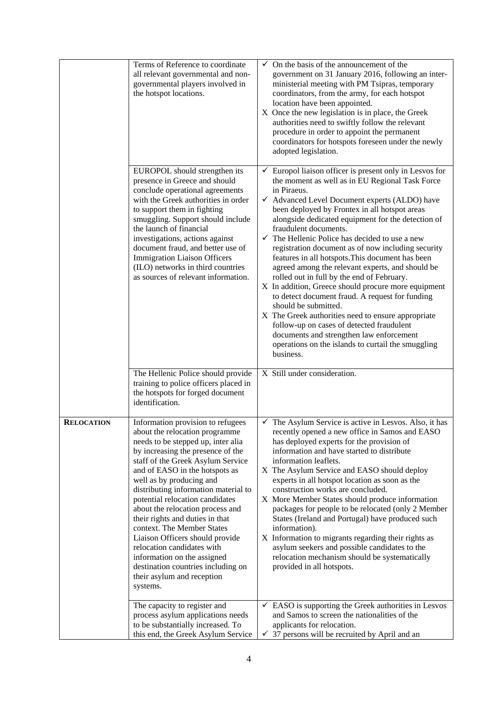|                   | Terms of Reference to coordinate<br>all relevant governmental and non-<br>governmental players involved in<br>the hotspot locations.                                                                                                                                                                                                                                                                                                                                                                                                                                                                              | On the basis of the announcement of the<br>$\checkmark$<br>government on 31 January 2016, following an inter-<br>ministerial meeting with PM Tsipras, temporary<br>coordinators, from the army, for each hotspot<br>location have been appointed.<br>X Once the new legislation is in place, the Greek<br>authorities need to swiftly follow the relevant<br>procedure in order to appoint the permanent<br>coordinators for hotspots foreseen under the newly<br>adopted legislation.                                                                                                                                                                                                                                                                                                                                                                                                                                                                        |
|-------------------|-------------------------------------------------------------------------------------------------------------------------------------------------------------------------------------------------------------------------------------------------------------------------------------------------------------------------------------------------------------------------------------------------------------------------------------------------------------------------------------------------------------------------------------------------------------------------------------------------------------------|---------------------------------------------------------------------------------------------------------------------------------------------------------------------------------------------------------------------------------------------------------------------------------------------------------------------------------------------------------------------------------------------------------------------------------------------------------------------------------------------------------------------------------------------------------------------------------------------------------------------------------------------------------------------------------------------------------------------------------------------------------------------------------------------------------------------------------------------------------------------------------------------------------------------------------------------------------------|
|                   | EUROPOL should strengthen its<br>presence in Greece and should<br>conclude operational agreements<br>with the Greek authorities in order<br>to support them in fighting<br>smuggling. Support should include<br>the launch of financial<br>investigations, actions against<br>document fraud, and better use of<br><b>Immigration Liaison Officers</b><br>(ILO) networks in third countries<br>as sources of relevant information.                                                                                                                                                                                | $\checkmark$ Europol liaison officer is present only in Lesvos for<br>the moment as well as in EU Regional Task Force<br>in Piraeus.<br>$\checkmark$ Advanced Level Document experts (ALDO) have<br>been deployed by Frontex in all hotspot areas<br>alongside dedicated equipment for the detection of<br>fraudulent documents.<br>$\checkmark$ The Hellenic Police has decided to use a new<br>registration document as of now including security<br>features in all hotspots. This document has been<br>agreed among the relevant experts, and should be<br>rolled out in full by the end of February.<br>X In addition, Greece should procure more equipment<br>to detect document fraud. A request for funding<br>should be submitted.<br>X The Greek authorities need to ensure appropriate<br>follow-up on cases of detected fraudulent<br>documents and strengthen law enforcement<br>operations on the islands to curtail the smuggling<br>business. |
|                   | The Hellenic Police should provide<br>training to police officers placed in<br>the hotspots for forged document<br>identification.                                                                                                                                                                                                                                                                                                                                                                                                                                                                                | X Still under consideration.                                                                                                                                                                                                                                                                                                                                                                                                                                                                                                                                                                                                                                                                                                                                                                                                                                                                                                                                  |
| <b>RELOCATION</b> | Information provision to refugees<br>about the relocation programme<br>needs to be stepped up, inter alia<br>by increasing the presence of the<br>staff of the Greek Asylum Service<br>and of EASO in the hotspots as<br>well as by producing and<br>distributing information material to<br>potential relocation candidates<br>about the relocation process and<br>their rights and duties in that<br>context. The Member States<br>Liaison Officers should provide<br>relocation candidates with<br>information on the assigned<br>destination countries including on<br>their asylum and reception<br>systems. | The Asylum Service is active in Lesvos. Also, it has<br>recently opened a new office in Samos and EASO<br>has deployed experts for the provision of<br>information and have started to distribute<br>information leaflets.<br>X The Asylum Service and EASO should deploy<br>experts in all hotspot location as soon as the<br>construction works are concluded.<br>X More Member States should produce information<br>packages for people to be relocated (only 2 Member<br>States (Ireland and Portugal) have produced such<br>information).<br>X Information to migrants regarding their rights as<br>asylum seekers and possible candidates to the<br>relocation mechanism should be systematically<br>provided in all hotspots.                                                                                                                                                                                                                          |
|                   | The capacity to register and<br>process asylum applications needs<br>to be substantially increased. To<br>this end, the Greek Asylum Service                                                                                                                                                                                                                                                                                                                                                                                                                                                                      | $\checkmark$ EASO is supporting the Greek authorities in Lesvos<br>and Samos to screen the nationalities of the<br>applicants for relocation.<br>37 persons will be recruited by April and an<br>✓                                                                                                                                                                                                                                                                                                                                                                                                                                                                                                                                                                                                                                                                                                                                                            |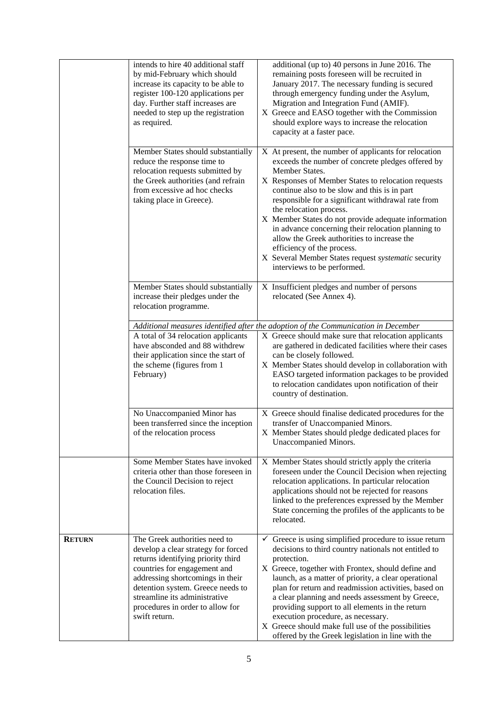|               | intends to hire 40 additional staff<br>by mid-February which should<br>increase its capacity to be able to<br>register 100-120 applications per<br>day. Further staff increases are<br>needed to step up the registration<br>as required.                                                                 | additional (up to) 40 persons in June 2016. The<br>remaining posts foreseen will be recruited in<br>January 2017. The necessary funding is secured<br>through emergency funding under the Asylum,<br>Migration and Integration Fund (AMIF).<br>X Greece and EASO together with the Commission<br>should explore ways to increase the relocation<br>capacity at a faster pace.                                                                                                                                                                                                                        |
|---------------|-----------------------------------------------------------------------------------------------------------------------------------------------------------------------------------------------------------------------------------------------------------------------------------------------------------|------------------------------------------------------------------------------------------------------------------------------------------------------------------------------------------------------------------------------------------------------------------------------------------------------------------------------------------------------------------------------------------------------------------------------------------------------------------------------------------------------------------------------------------------------------------------------------------------------|
|               | Member States should substantially<br>reduce the response time to<br>relocation requests submitted by<br>the Greek authorities (and refrain<br>from excessive ad hoc checks<br>taking place in Greece).                                                                                                   | X At present, the number of applicants for relocation<br>exceeds the number of concrete pledges offered by<br>Member States.<br>X Responses of Member States to relocation requests<br>continue also to be slow and this is in part<br>responsible for a significant withdrawal rate from<br>the relocation process.<br>X Member States do not provide adequate information<br>in advance concerning their relocation planning to<br>allow the Greek authorities to increase the<br>efficiency of the process.<br>X Several Member States request systematic security<br>interviews to be performed. |
|               | Member States should substantially<br>increase their pledges under the<br>relocation programme.                                                                                                                                                                                                           | X Insufficient pledges and number of persons<br>relocated (See Annex 4).                                                                                                                                                                                                                                                                                                                                                                                                                                                                                                                             |
|               |                                                                                                                                                                                                                                                                                                           | Additional measures identified after the adoption of the Communication in December                                                                                                                                                                                                                                                                                                                                                                                                                                                                                                                   |
|               | A total of 34 relocation applicants<br>have absconded and 88 withdrew<br>their application since the start of<br>the scheme (figures from 1<br>February)                                                                                                                                                  | X Greece should make sure that relocation applicants<br>are gathered in dedicated facilities where their cases<br>can be closely followed.<br>X Member States should develop in collaboration with<br>EASO targeted information packages to be provided<br>to relocation candidates upon notification of their<br>country of destination.                                                                                                                                                                                                                                                            |
|               | No Unaccompanied Minor has<br>been transferred since the inception<br>of the relocation process                                                                                                                                                                                                           | X Greece should finalise dedicated procedures for the<br>transfer of Unaccompanied Minors.<br>X Member States should pledge dedicated places for<br>Unaccompanied Minors.                                                                                                                                                                                                                                                                                                                                                                                                                            |
|               | Some Member States have invoked<br>criteria other than those foreseen in<br>the Council Decision to reject<br>relocation files.                                                                                                                                                                           | X Member States should strictly apply the criteria<br>foreseen under the Council Decision when rejecting<br>relocation applications. In particular relocation<br>applications should not be rejected for reasons<br>linked to the preferences expressed by the Member<br>State concerning the profiles of the applicants to be<br>relocated.                                                                                                                                                                                                                                                         |
| <b>RETURN</b> | The Greek authorities need to<br>develop a clear strategy for forced<br>returns identifying priority third<br>countries for engagement and<br>addressing shortcomings in their<br>detention system. Greece needs to<br>streamline its administrative<br>procedures in order to allow for<br>swift return. | $\checkmark$ Greece is using simplified procedure to issue return<br>decisions to third country nationals not entitled to<br>protection.<br>X Greece, together with Frontex, should define and<br>launch, as a matter of priority, a clear operational<br>plan for return and readmission activities, based on<br>a clear planning and needs assessment by Greece,<br>providing support to all elements in the return<br>execution procedure, as necessary.<br>X Greece should make full use of the possibilities<br>offered by the Greek legislation in line with the                               |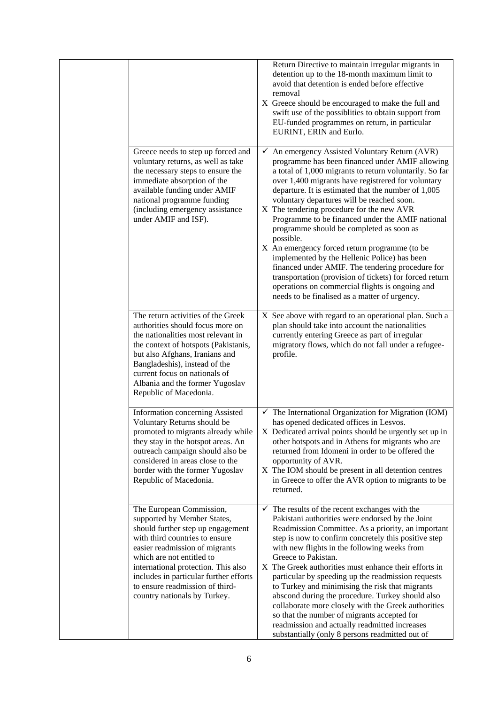|                                                                                                                                                                                                                                                                                                                                                   | Return Directive to maintain irregular migrants in<br>detention up to the 18-month maximum limit to<br>avoid that detention is ended before effective<br>removal<br>X Greece should be encouraged to make the full and<br>swift use of the possiblities to obtain support from<br>EU-funded programmes on return, in particular<br>EURINT, ERIN and Eurlo.                                                                                                                                                                                                                                                                                                                                                                                                                                                       |
|---------------------------------------------------------------------------------------------------------------------------------------------------------------------------------------------------------------------------------------------------------------------------------------------------------------------------------------------------|------------------------------------------------------------------------------------------------------------------------------------------------------------------------------------------------------------------------------------------------------------------------------------------------------------------------------------------------------------------------------------------------------------------------------------------------------------------------------------------------------------------------------------------------------------------------------------------------------------------------------------------------------------------------------------------------------------------------------------------------------------------------------------------------------------------|
| Greece needs to step up forced and<br>voluntary returns, as well as take<br>the necessary steps to ensure the<br>immediate absorption of the<br>available funding under AMIF<br>national programme funding<br>(including emergency assistance<br>under AMIF and ISF).                                                                             | $\checkmark$ An emergency Assisted Voluntary Return (AVR)<br>programme has been financed under AMIF allowing<br>a total of 1,000 migrants to return voluntarily. So far<br>over 1,400 migrants have registrered for voluntary<br>departure. It is estimated that the number of 1,005<br>voluntary departures will be reached soon.<br>X The tendering procedure for the new AVR<br>Programme to be financed under the AMIF national<br>programme should be completed as soon as<br>possible.<br>X An emergency forced return programme (to be<br>implemented by the Hellenic Police) has been<br>financed under AMIF. The tendering procedure for<br>transportation (provision of tickets) for forced return<br>operations on commercial flights is ongoing and<br>needs to be finalised as a matter of urgency. |
| The return activities of the Greek<br>authorities should focus more on<br>the nationalities most relevant in<br>the context of hotspots (Pakistanis,<br>but also Afghans, Iranians and<br>Bangladeshis), instead of the<br>current focus on nationals of<br>Albania and the former Yugoslav<br>Republic of Macedonia.                             | X See above with regard to an operational plan. Such a<br>plan should take into account the nationalities<br>currently entering Greece as part of irregular<br>migratory flows, which do not fall under a refugee-<br>profile.                                                                                                                                                                                                                                                                                                                                                                                                                                                                                                                                                                                   |
| Information concerning Assisted<br>Voluntary Returns should be<br>promoted to migrants already while<br>they stay in the hotspot areas. An<br>outreach campaign should also be<br>considered in areas close to the<br>border with the former Yugoslav<br>Republic of Macedonia.                                                                   | $\checkmark$ The International Organization for Migration (IOM)<br>has opened dedicated offices in Lesvos.<br>X Dedicated arrival points should be urgently set up in<br>other hotspots and in Athens for migrants who are<br>returned from Idomeni in order to be offered the<br>opportunity of AVR.<br>X The IOM should be present in all detention centres<br>in Greece to offer the AVR option to migrants to be<br>returned.                                                                                                                                                                                                                                                                                                                                                                                |
| The European Commission,<br>supported by Member States,<br>should further step up engagement<br>with third countries to ensure<br>easier readmission of migrants<br>which are not entitled to<br>international protection. This also<br>includes in particular further efforts<br>to ensure readmission of third-<br>country nationals by Turkey. | $\checkmark$ The results of the recent exchanges with the<br>Pakistani authorities were endorsed by the Joint<br>Readmission Committee. As a priority, an important<br>step is now to confirm concretely this positive step<br>with new flights in the following weeks from<br>Greece to Pakistan.<br>X The Greek authorities must enhance their efforts in<br>particular by speeding up the readmission requests<br>to Turkey and minimising the risk that migrants<br>abscond during the procedure. Turkey should also<br>collaborate more closely with the Greek authorities<br>so that the number of migrants accepted for<br>readmission and actually readmitted increases<br>substantially (only 8 persons readmitted out of                                                                               |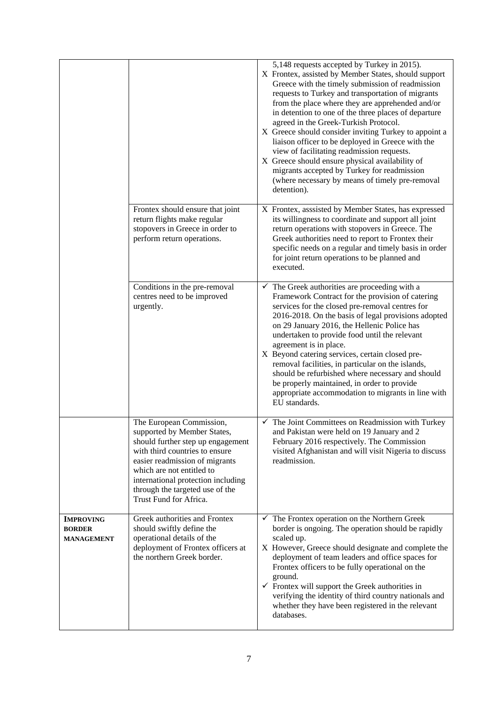|                                                        |                                                                                                                                                                                                                                                                                                  | 5,148 requests accepted by Turkey in 2015).<br>X Frontex, assisted by Member States, should support<br>Greece with the timely submission of readmission<br>requests to Turkey and transportation of migrants<br>from the place where they are apprehended and/or<br>in detention to one of the three places of departure<br>agreed in the Greek-Turkish Protocol.<br>X Greece should consider inviting Turkey to appoint a<br>liaison officer to be deployed in Greece with the<br>view of facilitating readmission requests.<br>X Greece should ensure physical availability of<br>migrants accepted by Turkey for readmission<br>(where necessary by means of timely pre-removal<br>detention). |
|--------------------------------------------------------|--------------------------------------------------------------------------------------------------------------------------------------------------------------------------------------------------------------------------------------------------------------------------------------------------|---------------------------------------------------------------------------------------------------------------------------------------------------------------------------------------------------------------------------------------------------------------------------------------------------------------------------------------------------------------------------------------------------------------------------------------------------------------------------------------------------------------------------------------------------------------------------------------------------------------------------------------------------------------------------------------------------|
|                                                        | Frontex should ensure that joint<br>return flights make regular<br>stopovers in Greece in order to<br>perform return operations.                                                                                                                                                                 | X Frontex, asssisted by Member States, has expressed<br>its willingness to coordinate and support all joint<br>return operations with stopovers in Greece. The<br>Greek authorities need to report to Frontex their<br>specific needs on a regular and timely basis in order<br>for joint return operations to be planned and<br>executed.                                                                                                                                                                                                                                                                                                                                                        |
|                                                        | Conditions in the pre-removal<br>centres need to be improved<br>urgently.                                                                                                                                                                                                                        | $\checkmark$ The Greek authorities are proceeding with a<br>Framework Contract for the provision of catering<br>services for the closed pre-removal centres for<br>2016-2018. On the basis of legal provisions adopted<br>on 29 January 2016, the Hellenic Police has<br>undertaken to provide food until the relevant<br>agreement is in place.<br>X Beyond catering services, certain closed pre-<br>removal facilities, in particular on the islands,<br>should be refurbished where necessary and should<br>be properly maintained, in order to provide<br>appropriate accommodation to migrants in line with<br>EU standards.                                                                |
|                                                        | The European Commission,<br>supported by Member States,<br>should further step up engagement<br>with third countries to ensure<br>easier readmission of migrants<br>which are not entitled to<br>international protection including<br>through the targeted use of the<br>Trust Fund for Africa. | $\checkmark$ The Joint Committees on Readmission with Turkey<br>and Pakistan were held on 19 January and 2<br>February 2016 respectively. The Commission<br>visited Afghanistan and will visit Nigeria to discuss<br>readmission.                                                                                                                                                                                                                                                                                                                                                                                                                                                                 |
| <b>IMPROVING</b><br><b>BORDER</b><br><b>MANAGEMENT</b> | Greek authorities and Frontex<br>should swiftly define the<br>operational details of the<br>deployment of Frontex officers at<br>the northern Greek border.                                                                                                                                      | $\checkmark$ The Frontex operation on the Northern Greek<br>border is ongoing. The operation should be rapidly<br>scaled up.<br>X However, Greece should designate and complete the<br>deployment of team leaders and office spaces for<br>Frontex officers to be fully operational on the<br>ground.<br>$\checkmark$ Frontex will support the Greek authorities in<br>verifying the identity of third country nationals and<br>whether they have been registered in the relevant<br>databases.                                                                                                                                                                                                   |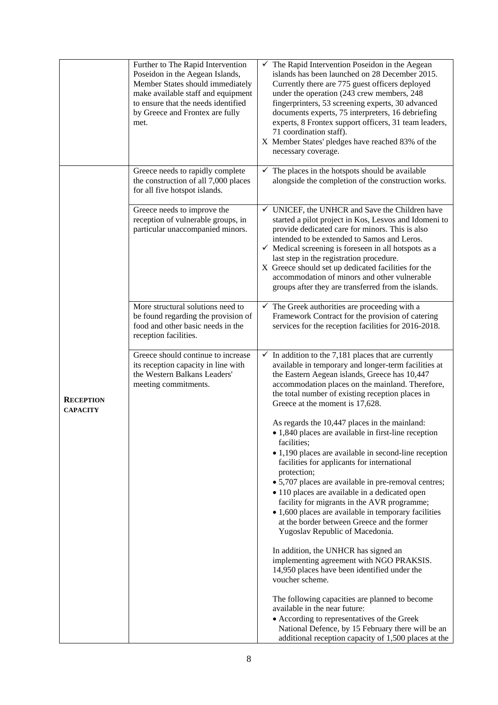|                                     | Further to The Rapid Intervention<br>Poseidon in the Aegean Islands,<br>Member States should immediately<br>make available staff and equipment<br>to ensure that the needs identified<br>by Greece and Frontex are fully<br>met. | $\checkmark$ The Rapid Intervention Poseidon in the Aegean<br>islands has been launched on 28 December 2015.<br>Currently there are 775 guest officers deployed<br>under the operation (243 crew members, 248<br>fingerprinters, 53 screening experts, 30 advanced<br>documents experts, 75 interpreters, 16 debriefing<br>experts, 8 Frontex support officers, 31 team leaders,<br>71 coordination staff).<br>X Member States' pledges have reached 83% of the<br>necessary coverage.                                                                                                         |
|-------------------------------------|----------------------------------------------------------------------------------------------------------------------------------------------------------------------------------------------------------------------------------|------------------------------------------------------------------------------------------------------------------------------------------------------------------------------------------------------------------------------------------------------------------------------------------------------------------------------------------------------------------------------------------------------------------------------------------------------------------------------------------------------------------------------------------------------------------------------------------------|
|                                     | Greece needs to rapidly complete<br>the construction of all 7,000 places<br>for all five hotspot islands.                                                                                                                        | $\checkmark$ The places in the hotspots should be available<br>alongside the completion of the construction works.                                                                                                                                                                                                                                                                                                                                                                                                                                                                             |
| <b>RECEPTION</b><br><b>CAPACITY</b> | Greece needs to improve the<br>reception of vulnerable groups, in<br>particular unaccompanied minors.                                                                                                                            | $\checkmark$ UNICEF, the UNHCR and Save the Children have<br>started a pilot project in Kos, Lesvos and Idomeni to<br>provide dedicated care for minors. This is also<br>intended to be extended to Samos and Leros.<br>$\checkmark$ Medical screening is foreseen in all hotspots as a<br>last step in the registration procedure.<br>X Greece should set up dedicated facilities for the<br>accommodation of minors and other vulnerable<br>groups after they are transferred from the islands.                                                                                              |
|                                     | More structural solutions need to<br>be found regarding the provision of<br>food and other basic needs in the<br>reception facilities.                                                                                           | $\checkmark$ The Greek authorities are proceeding with a<br>Framework Contract for the provision of catering<br>services for the reception facilities for 2016-2018.                                                                                                                                                                                                                                                                                                                                                                                                                           |
|                                     | Greece should continue to increase<br>its reception capacity in line with<br>the Western Balkans Leaders'<br>meeting commitments.                                                                                                | $\checkmark$ In addition to the 7,181 places that are currently<br>available in temporary and longer-term facilities at<br>the Eastern Aegean islands, Greece has 10,447<br>accommodation places on the mainland. Therefore,<br>the total number of existing reception places in<br>Greece at the moment is 17,628.                                                                                                                                                                                                                                                                            |
|                                     |                                                                                                                                                                                                                                  | As regards the 10,447 places in the mainland:<br>• 1,840 places are available in first-line reception<br>facilities;<br>$\bullet$ 1,190 places are available in second-line reception<br>facilities for applicants for international<br>protection;<br>• 5,707 places are available in pre-removal centres;<br>• 110 places are available in a dedicated open<br>facility for migrants in the AVR programme;<br>• 1,600 places are available in temporary facilities<br>at the border between Greece and the former<br>Yugoslav Republic of Macedonia.<br>In addition, the UNHCR has signed an |
|                                     |                                                                                                                                                                                                                                  | implementing agreement with NGO PRAKSIS.<br>14,950 places have been identified under the<br>voucher scheme.<br>The following capacities are planned to become<br>available in the near future:<br>• According to representatives of the Greek<br>National Defence, by 15 February there will be an<br>additional reception capacity of 1,500 places at the                                                                                                                                                                                                                                     |